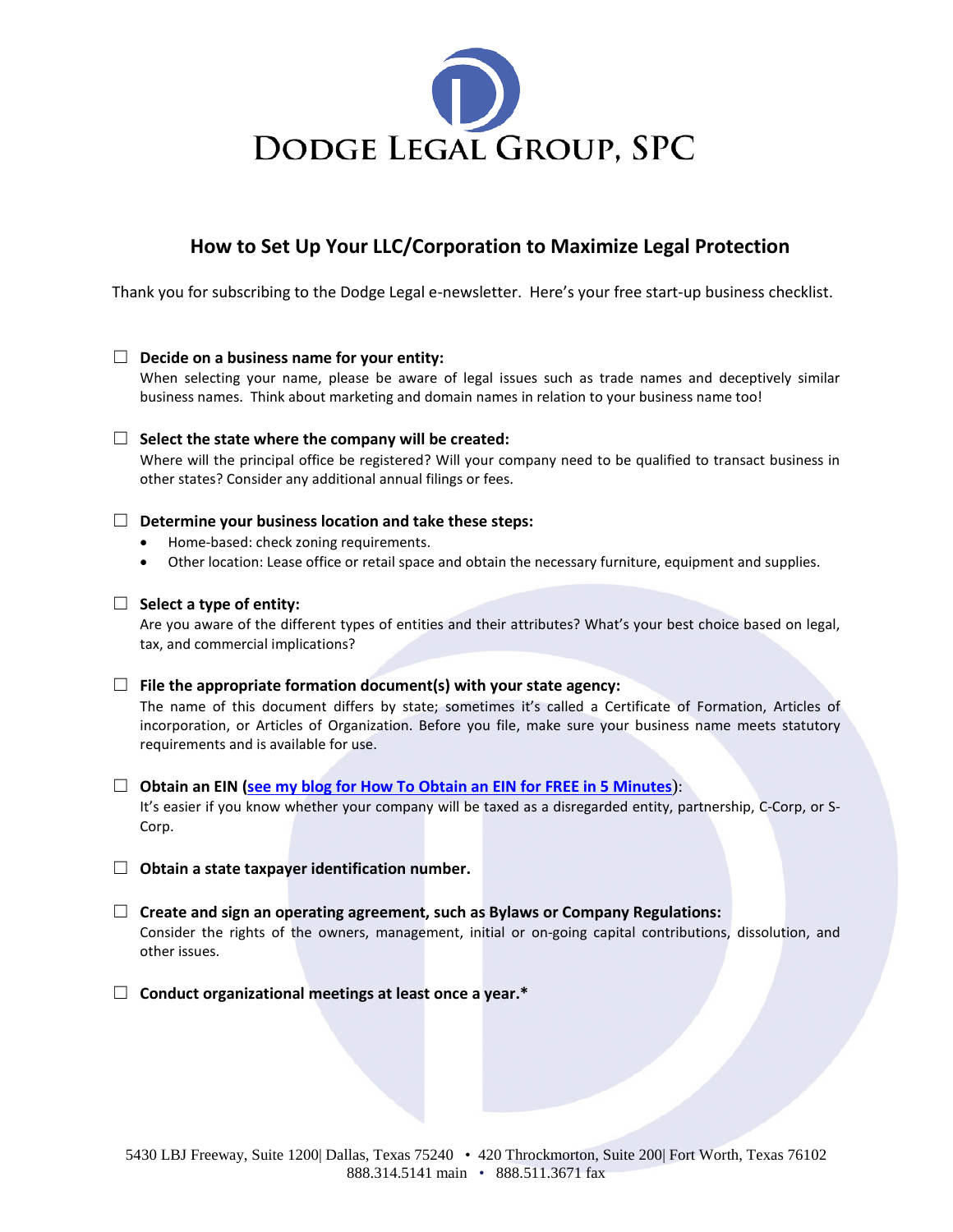

# **How to Set Up Your LLC/Corporation to Maximize Legal Protection**

Thank you for subscribing to the Dodge Legal e-newsletter. Here's your free start-up business checklist.

## ☐ **Decide on a business name for your entity:**

When selecting your name, please be aware of legal issues such as trade names and deceptively similar business names. Think about marketing and domain names in relation to your business name too!

## ☐ **Select the state where the company will be created:**

Where will the principal office be registered? Will your company need to be qualified to transact business in other states? Consider any additional annual filings or fees.

## ☐ **Determine your business location and take these steps:**

- Home-based: check zoning requirements.
- Other location: Lease office or retail space and obtain the necessary furniture, equipment and supplies.

## ☐ **Select a type of entity:**

Are you aware of the different types of entities and their attributes? What's your best choice based on legal, tax, and commercial implications?

## ☐ **File the appropriate formation document(s) with your state agency:**

The name of this document differs by state; sometimes it's called a Certificate of Formation, Articles of incorporation, or Articles of Organization. Before you file, make sure your business name meets statutory requirements and is available for use.

## ☐ **Obtain an EIN [\(see my blog for How To Obtain an EIN for FREE in 5 Minutes](https://www.dodgelegal.com/general/how-to-get-an-ein-for-free-in-only-5-minutes/)**):

It's easier if you know whether your company will be taxed as a disregarded entity, partnership, C-Corp, or S-Corp.

- ☐ **Obtain a state taxpayer identification number.**
- ☐ **Create and sign an operating agreement, such as Bylaws or Company Regulations:** Consider the rights of the owners, management, initial or on-going capital contributions, dissolution, and other issues.
- ☐ **Conduct organizational meetings at least once a year.\***